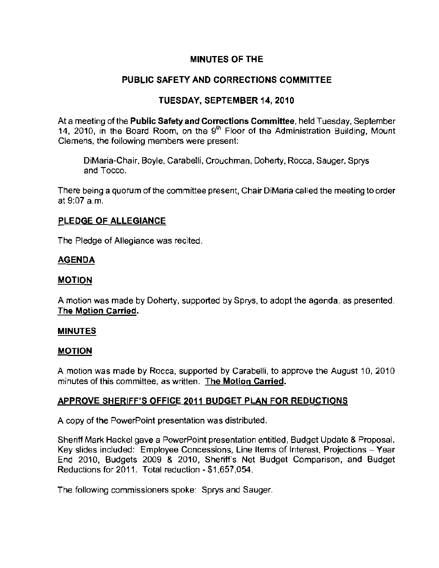# MINUTES OF THE

# PUBLIC SAFETY AND CORRECTIONS COMMITTEE

# TUESDAY, SEPTEMBER 14, 2010

At a meeting of the Public Safety and Corrections Committee, held Tuesday, September 14, 2010, in the Board Room, on the  $9<sup>th</sup>$  Floor of the Administration Building, Mount Clemens, the following members were present:

DiMaria-Chair, Boyle, Carabelli, Crouchman, Doherty, Rocca, Sauger, Sprys and Tocco,

There being a quorum of the committee present, Chair DiMaria called the meeting to order at 9:07 a.m.

### PLEDGE OF ALLEGIANCE

The Pledge of Allegiance was recited.

### AGENDA

## MOTION

A motion was made by Doherty, supported by Sprys, to adopt the agenda, as presented The Motion Carried.

#### **MINUTES**

## MOTION

A motion was made by Rocca, supported by Carabelli, to approve the August 10, 2010 minutes of this committee, as written. **The Motion Carried.** 

## APPROVE SHERIFF'S OFFICE 2011 BUDGET PLAN FOR REDUCTIONS

A copy of the PowerPoint presentation was distributed,

Sheriff Mark Hackel gave a PowerPoint presentation entitled, Budget Update & Proposal. Key slides included: Employee Concessions, Line Items of Interest, Projections  $-$  Year End 2010, Budgets 2009 & 2010, Sheriffs Net BUdget Comparison, and BUdget Reductions for 2011, Total reduction - \$1 ,657,054.

The following commissioners spoke: Sprys and Sauger.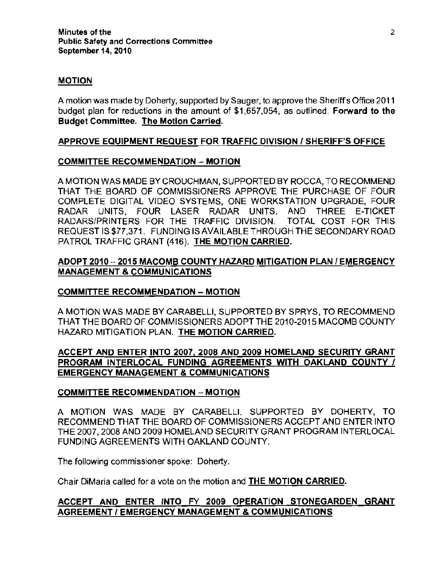### MOTION

A motion was made by Doherty, supported by Sauger, to approve the Sheriffs Office 2011 budget plan for reductions in the amount of \$1,657,054, as outlined. Forward to the Budget Committee. The Motion Carried.

## APPROVE EQUIPMENT REQUEST FOR TRAFFIC DIVISION I SHERIFF'S OFFICE

#### COMMITTEE RECOMMENDATION - MOTION

A MOTION WAS MADE BY CROUCHMAN, SUPPORTED BY ROCCA, TO RECOMMEND THAT THE BOARD OF COMMISSIONERS APPROVE THE PURCHASE OF FOUR COMPLETE DIGITAL VIDEO SYSTEMS, ONE WORKSTATION UPGRADE, FOUR RADAR UNITS, FOUR LASER RADAR UNITS, AND THREE E-TICKET RADARS/PRINTERS FOR THE TRAFFIC DIVISION. TOTAL COST FOR THIS REQUEST IS \$77.371. FUNDING IS AVAILABLE THROUGH THE SECONDARY ROAD PATROL TRAFFIC GRANT (416). THE MOTION CARRIED.

# ADOPT 2010 - 2015 MACOMB COUNTY HAZARD MITIGATION PLAN / EMERGENCY MANAGEMENT & COMMUNICATIONS

#### COMMITTEE RECOMMENDATION - MOTION

A MOTION WAS MADE BY CARABELlI, SUPPORTED BY SPRYS, TO RECOMMEND THAT THE BOARD OF COMMISSIONERS ADOPT THE 2010-2015 MACOMB COUNTY HAZARD MITIGATION PLAN. THE MOTION CARRIED.

## ACCEPT AND ENTER INTO 2007, 2008 AND 2009 HOMELAND SECURITY GRANT PROGRAM INTERLOCAL FUNDING AGREEMENTS WITH OAKLAND COUNTY / EMERGENCY MANAGEMENT & COMMUNICATIONS

#### COMMITTEE RECOMMENDATION - MOTION

A MOTION WAS MADE BY CARABELLI. SUPPORTED BY DOHERTY, TO RECOMMEND THAT THE BOARD OF COMMISSIONERS ACCEPT AND ENTER INTO THE 2007, 2008 AND 2009 HOMELAND SECURITY GRANT PROGRAM INTERLOCAL FUNDING AGREEMENTS WITH OAKLAND COUNTY.

The following commissioner spoke: Doherty.

Chair DiMaria called for a vole on the motion and THE MOTION CARRIED.

# ACCEPT AND ENTER INTO FY 2009 OPERATION STONEGARDEN GRANT AGREEMENT I EMERGENCY MANAGEMENT & COMMUNICATIONS